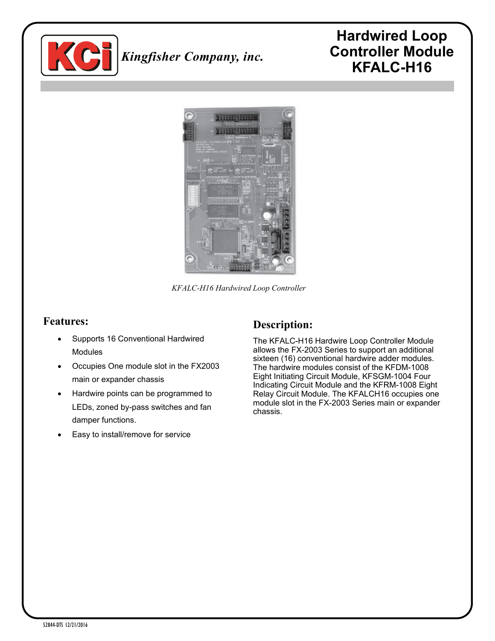

## *Kingfisher Company, inc.*

### **Hardwired Loop Controller Module KFALC-H16**



*KFALC-H16 Hardwired Loop Controller*

#### **Features:**

- Supports 16 Conventional Hardwired Modules
- Occupies One module slot in the FX2003 main or expander chassis
- Hardwire points can be programmed to LEDs, zoned by-pass switches and fan damper functions.
- Easy to install/remove for service

#### **Description:**

The KFALC-H16 Hardwire Loop Controller Module allows the FX-2003 Series to support an additional sixteen (16) conventional hardwire adder modules. The hardwire modules consist of the KFDM-1008 Eight Initiating Circuit Module, KFSGM-1004 Four Indicating Circuit Module and the KFRM-1008 Eight Relay Circuit Module. The KFALCH16 occupies one module slot in the FX-2003 Series main or expander chassis.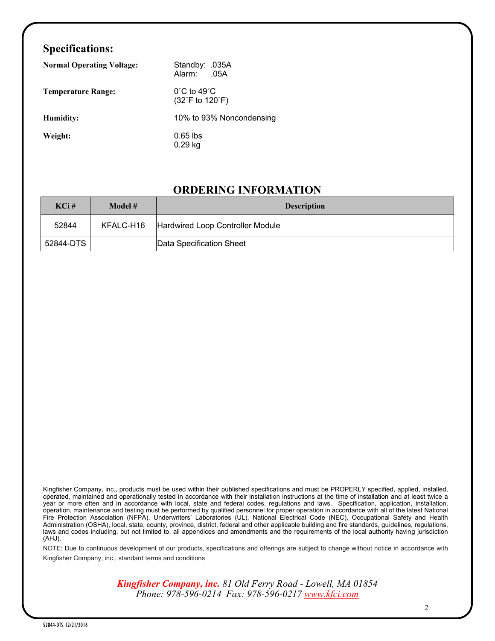#### **Specifications:**

| <b>Normal Operating Voltage:</b> | Standby: .035A<br>Alarm:<br>.05A                                         |
|----------------------------------|--------------------------------------------------------------------------|
| <b>Temperature Range:</b>        | $0^{\circ}$ C to 49 $^{\circ}$ C<br>$(32^{\circ}$ F to 120 $^{\circ}$ F) |
| Humidity:                        | 10% to 93% Noncondensing                                                 |
| Weight:                          | $0.65$ lbs<br>$0.29$ kg                                                  |

#### **ORDERING INFORMATION**

| $KCi$ #   | Model #   | <b>Description</b>               |
|-----------|-----------|----------------------------------|
| 52844     | KFALC-H16 | Hardwired Loop Controller Module |
| 52844-DTS |           | Data Specification Sheet         |

Kingfisher Company, inc., products must be used within their published specifications and must be PROPERLY specified, applied, installed, operated, maintained and operationally tested in accordance with their installation instructions at the time of installation and at least twice a year or more often and in accordance with local, state and federal codes, regulations and laws. Specification, application, installation, operation, maintenance and testing must be performed by qualified personnel for proper operation in accordance with all of the latest National Fire Protection Association (NFPA), Underwriters' Laboratories (UL), National Electrical Code (NEC), Occupational Safety and Health Administration (OSHA), local, state, county, province, district, federal and other applicable building and fire standards, guidelines, regulations, laws and codes including, but not limited to, all appendices and amendments and the requirements of the local authority having jurisdiction (AHJ).

NOTE: Due to continuous development of our products, specifications and offerings are subject to change without notice in accordance with Kingfisher Company, inc., standard terms and conditions

> *Kingfisher Company, inc. 81 Old Ferry Road - Lowell, MA 01854 Phone: 978-596-0214 Fax: 978-596-0217 [www.kfci.com](http://www.kfci.com/)*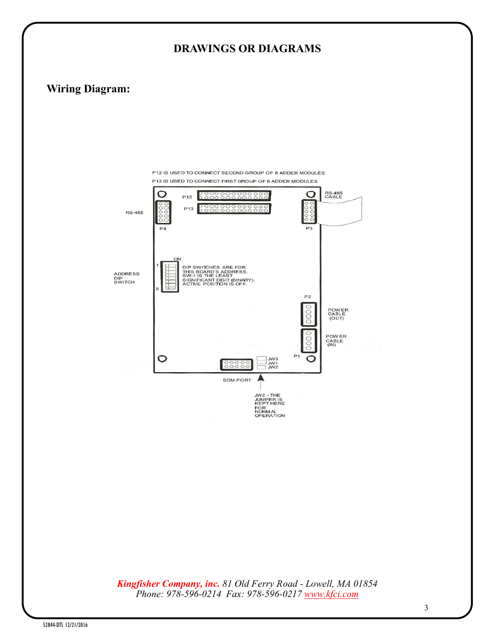